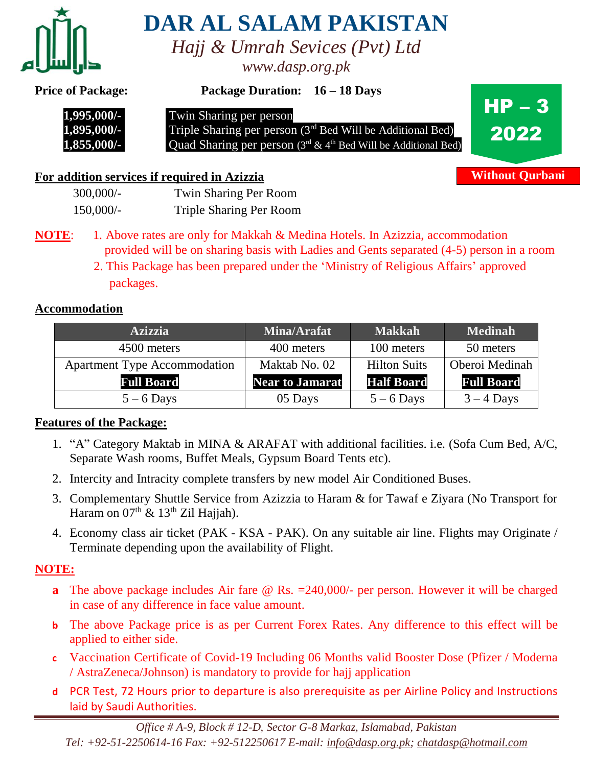

**DAR AL SALAM PAKISTAN**

*Hajj & Umrah Sevices (Pvt) Ltd www.dasp.org.pk*

**Price of Package: Package Duration: 16 – 18 Days**



 **1,995,000/-** Twin Sharing per person

**1,895,000/-** Triple Sharing per person (3<sup>rd</sup> Bed Will be Additional Bed) **1,855,000/-** Quad Sharing per person (3<sup>rd</sup> & 4<sup>th</sup> Bed Will be Additional Bed)



**Without Qurbani**

# **For addition services if required in Azizzia**

| 300,000/-   | Twin Sharing Per Room          |
|-------------|--------------------------------|
| $150,000/-$ | <b>Triple Sharing Per Room</b> |

- **NOTE:** 1. Above rates are only for Makkah & Medina Hotels. In Azizzia, accommodation provided will be on sharing basis with Ladies and Gents separated (4-5) person in a room
	- 2. This Package has been prepared under the 'Ministry of Religious Affairs' approved packages.

## **Accommodation**

| <b>Azizzia</b>                      | Mina/Arafat            | <b>Makkah</b>       | <b>Medinah</b>    |
|-------------------------------------|------------------------|---------------------|-------------------|
| 4500 meters                         | 400 meters             | 100 meters          | 50 meters         |
| <b>Apartment Type Accommodation</b> | Maktab No. 02          | <b>Hilton Suits</b> | Oberoi Medinah    |
| <b>Full Board</b>                   | <b>Near to Jamarat</b> | <b>Half Board</b>   | <b>Full Board</b> |
| $5 - 6$ Days                        | 05 Days                | $5 - 6$ Days        | $3 - 4$ Days      |

## **Features of the Package:**

- 1. "A" Category Maktab in MINA & ARAFAT with additional facilities. i.e. (Sofa Cum Bed, A/C, Separate Wash rooms, Buffet Meals, Gypsum Board Tents etc).
- 2. Intercity and Intracity complete transfers by new model Air Conditioned Buses.
- 3. Complementary Shuttle Service from Azizzia to Haram & for Tawaf e Ziyara (No Transport for Haram on  $07<sup>th</sup>$  &  $13<sup>th</sup>$  Zil Hajjah).
- 4. Economy class air ticket (PAK KSA PAK). On any suitable air line. Flights may Originate / Terminate depending upon the availability of Flight.

# **NOTE:**

- **a** The above package includes Air fare @ Rs. = 240,000/- per person. However it will be charged in case of any difference in face value amount.
- **b** The above Package price is as per Current Forex Rates. Any difference to this effect will be applied to either side.
- **c** Vaccination Certificate of Covid-19 Including 06 Months valid Booster Dose (Pfizer / Moderna / AstraZeneca/Johnson) is mandatory to provide for hajj application
- **d** PCR Test, 72 Hours prior to departure is also prerequisite as per Airline Policy and Instructions laid by Saudi Authorities.